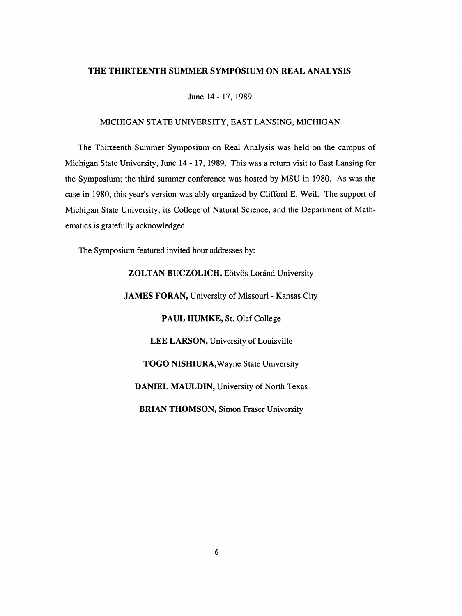#### THE THIRTEENTH SUMMER SYMPOSIUM ON REAL ANALYSIS

June 14 - 17, 1989

#### MICHIGAN STATE UNIVERSITY, EAST LANSING, MICHIGAN

 The Thirteenth Summer Symposium on Real Analysis was held on the campus of Michigan State University, June 14 - 17, 1989. This was a return visit to East Lansing for the Symposium; the third summer conference was hosted by MSU in 1980. As was the case in 1980, this year's version was ably organized by Clifford E. Weil. The support of Michigan State University, its College of Natural Science, and the Department of Math ematics is gratefully acknowledged.

The Symposium featured invited hour addresses by:

 ZOLTAN BUCZOLICH, Eötvös Loránd University JAMES FORAN, University of Missouri - Kansas City PAUL HUMKE, St. Olaf College LEE LARSON, University of Louisville TOGO NISHIURA, Wayne State University DANIEL MAULDIN, University of North Texas BRIAN THOMSON, Simon Fraser University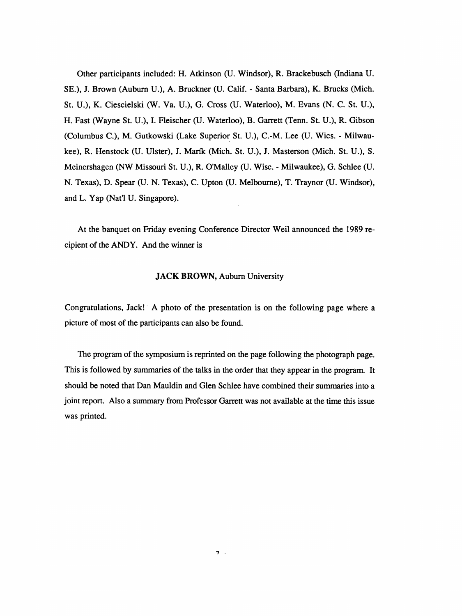Other participants included: H. Atkinson (U. Windsor), R. Brackebusch (Indiana U. SE.), J. Brown (Auburn U.), A. Bruckner (U. Calif. - Santa Barbara), K. Bracks (Mich. St. U.), K. Ciescielski (W. Va. U.), G. Cross (U. Waterloo), M. Evans (N. C. St. U.), H. Fast (Wayne St. U.), I. Fleischer (U. Waterloo), B. Garrett (Tenn. St. U.), R. Gibson (Columbus C.), M. Gutkowski (Lake Superior St. U.), C.-M. Lee (U. Wies. - Milwau kee), R. Henstock (U. Ulster), J. Marik (Mich. St. U.), J. Masterson (Mich. St. U.), S. Meinershagen (NW Missouri St. U.), R. O'Malley (U. Wise. - Milwaukee), G. Schlee (U. N. Texas), D. Spear (U. N. Texas), C. Upton (U. Melbourne), T. Traynor (U. Windsor), and L. Yap (Nat'l U. Singapore).

 At the banquet on Friday evening Conference Director Weil announced the 1989 re cipient of the ANDY. And the winner is

## JACK BROWN, Auburn University

 Congratulations, Jack! A photo of the presentation is on the following page where a picture of most of the participants can also be found.

 The program of the symposium is reprinted on the page following the photograph page. This is followed by summaries of the talks in the order that they appear in the program. It should be noted that Dan Mauldin and Glen Schlee have combined their summaries into a joint report. Also a summary from Professor Garrett was not available at the time this issue was printed.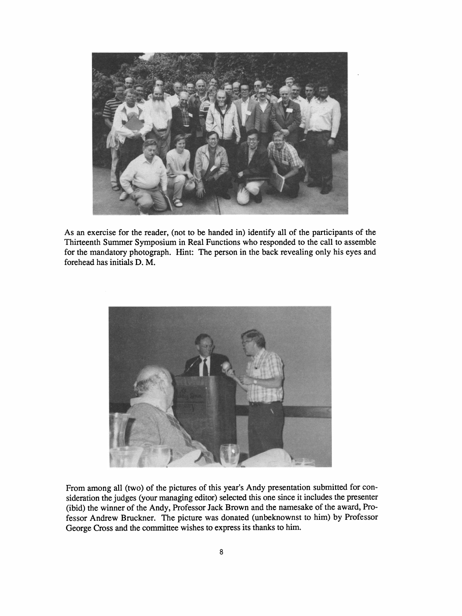

 As an exercise for the reader, (not to be handed in) identify all of the participants of the Thirteenth Summer Symposium in Real Functions who responded to the call to assemble for the mandatory photograph. Hint: The person in the back revealing only his eyes and forehead has initials D. M.



 From among all (two) of the pictures of this year's Andy presentation submitted for con sideration the judges (your managing editor) selected this one since it includes the presenter (ibid) the winner of the Andy, Professor Jack Brown and the namesake of the award, Pro fessor Andrew Bruckner. The picture was donated (unbeknownst to him) by Professor George Cross and the committee wishes to express its thanks to him.